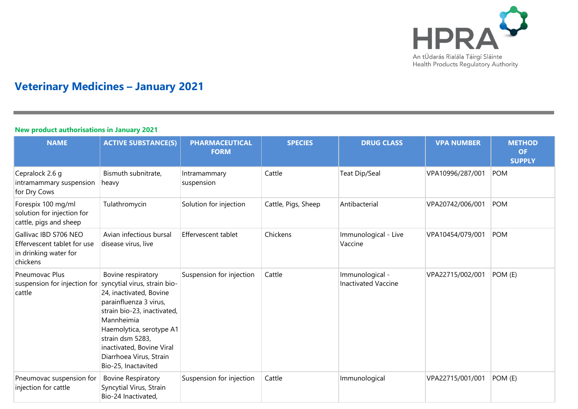

# **Veterinary Medicines – January 2021**

### **New product authorisations in January 2021**

| <b>NAME</b>                                                                               | <b>ACTIVE SUBSTANCE(S)</b>                                                                                                                                                                                                                          | <b>PHARMACEUTICAL</b><br><b>FORM</b> | <b>SPECIES</b>      | <b>DRUG CLASS</b>                             | <b>VPA NUMBER</b> | <b>METHOD</b><br><b>OF</b><br><b>SUPPLY</b> |
|-------------------------------------------------------------------------------------------|-----------------------------------------------------------------------------------------------------------------------------------------------------------------------------------------------------------------------------------------------------|--------------------------------------|---------------------|-----------------------------------------------|-------------------|---------------------------------------------|
| Cepralock 2.6 g<br>intramammary suspension<br>for Dry Cows                                | Bismuth subnitrate,<br>heavy                                                                                                                                                                                                                        | Intramammary<br>suspension           | Cattle              | Teat Dip/Seal                                 | VPA10996/287/001  | POM                                         |
| Forespix 100 mg/ml<br>solution for injection for<br>cattle, pigs and sheep                | Tulathromycin                                                                                                                                                                                                                                       | Solution for injection               | Cattle, Pigs, Sheep | Antibacterial                                 | VPA20742/006/001  | <b>POM</b>                                  |
| Gallivac IBD S706 NEO<br>Effervescent tablet for use<br>in drinking water for<br>chickens | Avian infectious bursal<br>disease virus, live                                                                                                                                                                                                      | Effervescent tablet                  | Chickens            | Immunological - Live<br>Vaccine               | VPA10454/079/001  | <b>POM</b>                                  |
| Pneumovac Plus<br>suspension for injection for syncytial virus, strain bio-<br>cattle     | Bovine respiratory<br>24, inactivated, Bovine<br>parainfluenza 3 virus,<br>strain bio-23, inactivated,<br>Mannheimia<br>Haemolytica, serotype A1<br>strain dsm 5283,<br>inactivated, Bovine Viral<br>Diarrhoea Virus, Strain<br>Bio-25, Inactavited | Suspension for injection             | Cattle              | Immunological -<br><b>Inactivated Vaccine</b> | VPA22715/002/001  | POM (E)                                     |
| Pneumovac suspension for<br>injection for cattle                                          | <b>Bovine Respiratory</b><br>Syncytial Virus, Strain<br>Bio-24 Inactivated,                                                                                                                                                                         | Suspension for injection             | Cattle              | Immunological                                 | VPA22715/001/001  | POM (E)                                     |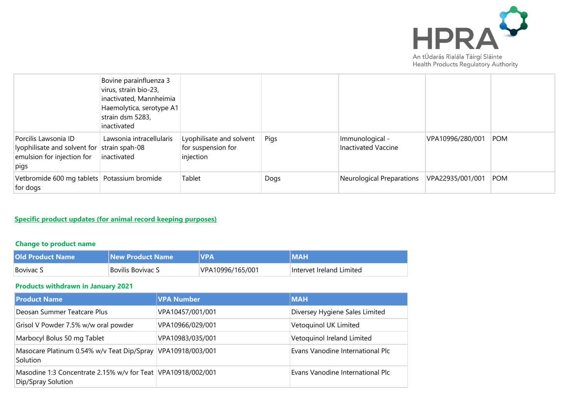

|                                                                                                           | Bovine parainfluenza 3<br>virus, strain bio-23,<br>inactivated, Mannheimia<br>Haemolytica, serotype A1<br>strain dsm 5283,<br>inactivated |                                                             |      |                                               |                  |            |
|-----------------------------------------------------------------------------------------------------------|-------------------------------------------------------------------------------------------------------------------------------------------|-------------------------------------------------------------|------|-----------------------------------------------|------------------|------------|
| Porcilis Lawsonia ID<br>lyophilisate and solvent for strain spah-08<br>emulsion for injection for<br>pigs | Lawsonia intracellularis<br>inactivated                                                                                                   | Lyophilisate and solvent<br>for suspension for<br>injection | Pigs | Immunological -<br><b>Inactivated Vaccine</b> | VPA10996/280/001 | <b>POM</b> |
| Vetbromide 600 mg tablets   Potassium bromide<br>for dogs                                                 |                                                                                                                                           | Tablet                                                      | Dogs | Neurological Preparations                     | VPA22935/001/001 | <b>POM</b> |

## **Specific product updates (for animal record keeping purposes)**

## **Change to product name**

| <b>Old Product Name</b> | <b>New Product Name</b> | <b>NPA</b>       |                          |
|-------------------------|-------------------------|------------------|--------------------------|
| <b>Bovivac S</b>        | Bovilis Bovivac S       | VPA10996/165/001 | Intervet Ireland Limited |

### **Products withdrawn in January 2021**

| <b>Product Name</b>                                                                | <b>VPA Number</b> | <b>MAH</b>                       |
|------------------------------------------------------------------------------------|-------------------|----------------------------------|
| Deosan Summer Teatcare Plus                                                        | VPA10457/001/001  | Diversey Hygiene Sales Limited   |
| Grisol V Powder 7.5% w/w oral powder                                               | VPA10966/029/001  | Vetoquinol UK Limited            |
| Marbocyl Bolus 50 mg Tablet                                                        | VPA10983/035/001  | Vetoquinol Ireland Limited       |
| Masocare Platinum 0.54% w/v Teat Dip/Spray<br><b>Solution</b>                      | VPA10918/003/001  | Evans Vanodine International Plc |
| Masodine 1:3 Concentrate 2.15% w/v for Teat VPA10918/002/001<br>Dip/Spray Solution |                   | Evans Vanodine International Plc |